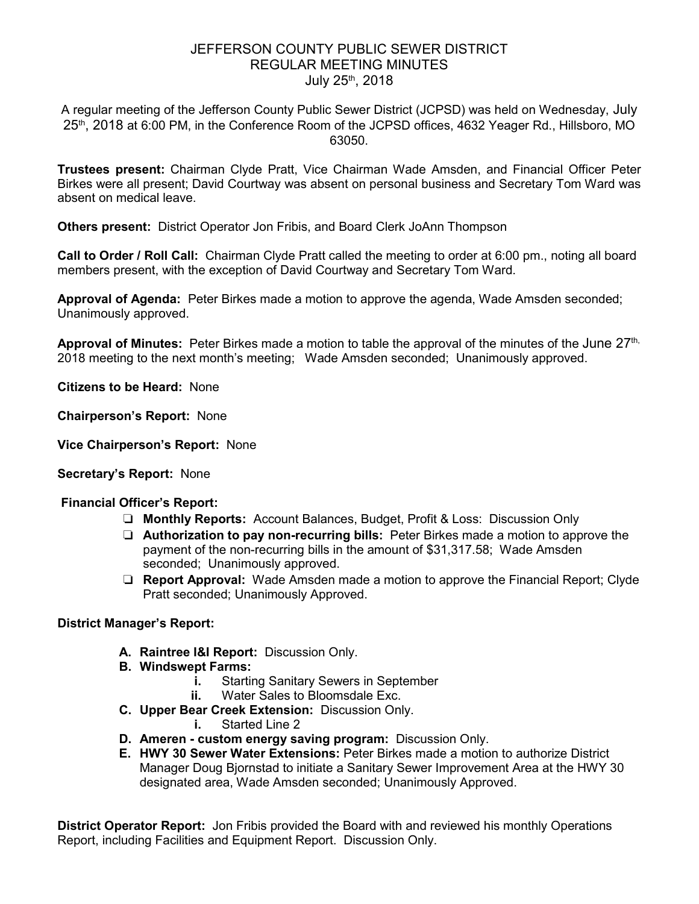# JEFFERSON COUNTY PUBLIC SEWER DISTRICT REGULAR MEETING MINUTES July 25<sup>th</sup>, 2018

A regular meeting of the Jefferson County Public Sewer District (JCPSD) was held on Wednesday, July 25<sup>th</sup>, 2018 at 6:00 PM, in the Conference Room of the JCPSD offices, 4632 Yeager Rd., Hillsboro, MO 63050.

**Trustees present:** Chairman Clyde Pratt, Vice Chairman Wade Amsden, and Financial Officer Peter Birkes were all present; David Courtway was absent on personal business and Secretary Tom Ward was absent on medical leave.

**Others present:** District Operator Jon Fribis, and Board Clerk JoAnn Thompson

**Call to Order / Roll Call:** Chairman Clyde Pratt called the meeting to order at 6:00 pm., noting all board members present, with the exception of David Courtway and Secretary Tom Ward.

**Approval of Agenda:** Peter Birkes made a motion to approve the agenda, Wade Amsden seconded; Unanimously approved.

**Approval of Minutes:** Peter Birkes made a motion to table the approval of the minutes of the June 27<sup>th,</sup> 2018 meeting to the next month's meeting; Wade Amsden seconded; Unanimously approved.

**Citizens to be Heard:** None

**Chairperson's Report:** None

**Vice Chairperson's Report:** None

**Secretary's Report:** None

### **Financial Officer's Report:**

- ❏ **Monthly Reports:** Account Balances, Budget, Profit & Loss: Discussion Only
- ❏ **Authorization to pay non-recurring bills:** Peter Birkes made a motion to approve the payment of the non-recurring bills in the amount of \$31,317.58; Wade Amsden seconded; Unanimously approved.
- ❏ **Report Approval:** Wade Amsden made a motion to approve the Financial Report; Clyde Pratt seconded; Unanimously Approved.

### **District Manager's Report:**

- **A. Raintree I&I Report:** Discussion Only.
- **B. Windswept Farms:** 
	- **i.** Starting Sanitary Sewers in September
	- **ii.** Water Sales to Bloomsdale Exc.
- **C. Upper Bear Creek Extension:** Discussion Only.
	- **i.** Started Line 2
- **D. Ameren custom energy saving program:** Discussion Only.
- **E. HWY 30 Sewer Water Extensions:** Peter Birkes made a motion to authorize District Manager Doug Bjornstad to initiate a Sanitary Sewer Improvement Area at the HWY 30 designated area, Wade Amsden seconded; Unanimously Approved.

**District Operator Report:** Jon Fribis provided the Board with and reviewed his monthly Operations Report, including Facilities and Equipment Report. Discussion Only.